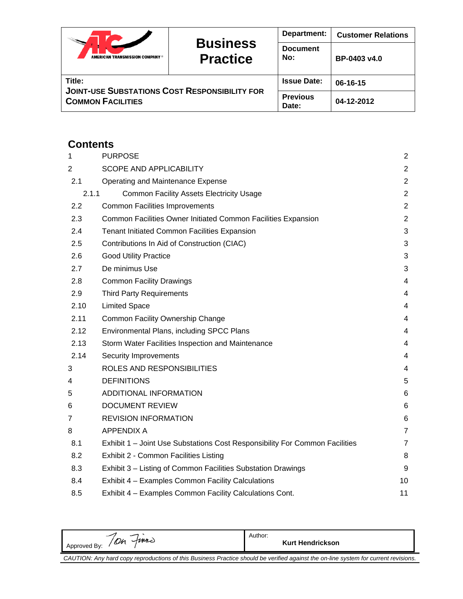|                                                                |                                    | Department:            | <b>Customer Relations</b> |
|----------------------------------------------------------------|------------------------------------|------------------------|---------------------------|
| AMERICAN TRANSMISSION COMPANY ®                                | <b>Business</b><br><b>Practice</b> | <b>Document</b><br>No: | BP-0403 v4.0              |
| Title:<br><b>JOINT-USE SUBSTATIONS COST RESPONSIBILITY FOR</b> | <b>Issue Date:</b>                 | 06-16-15               |                           |
| <b>COMMON FACILITIES</b>                                       | <b>Previous</b><br>Date:           | 04-12-2012             |                           |

# **Contents**

| 1     | <b>PURPOSE</b>                                                              |                |  |  |
|-------|-----------------------------------------------------------------------------|----------------|--|--|
| 2     | SCOPE AND APPLICABILITY                                                     | $\overline{2}$ |  |  |
| 2.1   | Operating and Maintenance Expense                                           | $\mathbf{2}$   |  |  |
| 2.1.1 | <b>Common Facility Assets Electricity Usage</b>                             | $\overline{2}$ |  |  |
| 2.2   | <b>Common Facilities Improvements</b>                                       | $\overline{2}$ |  |  |
| 2.3   | Common Facilities Owner Initiated Common Facilities Expansion               | $\overline{2}$ |  |  |
| 2.4   | <b>Tenant Initiated Common Facilities Expansion</b>                         | 3              |  |  |
| 2.5   | Contributions In Aid of Construction (CIAC)                                 | 3              |  |  |
| 2.6   | <b>Good Utility Practice</b>                                                | 3              |  |  |
| 2.7   | De minimus Use                                                              | 3              |  |  |
| 2.8   | <b>Common Facility Drawings</b>                                             | 4              |  |  |
| 2.9   | <b>Third Party Requirements</b>                                             | 4              |  |  |
| 2.10  | <b>Limited Space</b>                                                        | 4              |  |  |
| 2.11  | <b>Common Facility Ownership Change</b>                                     | 4              |  |  |
| 2.12  | Environmental Plans, including SPCC Plans                                   | 4              |  |  |
| 2.13  | Storm Water Facilities Inspection and Maintenance                           | 4              |  |  |
| 2.14  | <b>Security Improvements</b>                                                | 4              |  |  |
| 3     | ROLES AND RESPONSIBILITIES                                                  | 4              |  |  |
| 4     | <b>DEFINITIONS</b>                                                          | 5              |  |  |
| 5     | ADDITIONAL INFORMATION                                                      | 6              |  |  |
| 6     | <b>DOCUMENT REVIEW</b>                                                      | 6              |  |  |
| 7     | <b>REVISION INFORMATION</b>                                                 | 6              |  |  |
| 8     | <b>APPENDIX A</b>                                                           | $\overline{7}$ |  |  |
| 8.1   | Exhibit 1 - Joint Use Substations Cost Responsibility For Common Facilities | $\overline{7}$ |  |  |
| 8.2   | Exhibit 2 - Common Facilities Listing                                       | 8              |  |  |
| 8.3   | Exhibit 3 – Listing of Common Facilities Substation Drawings                | 9              |  |  |
| 8.4   | Exhibit 4 - Examples Common Facility Calculations                           | 10             |  |  |
| 8.5   | Exhibit 4 - Examples Common Facility Calculations Cont.                     | 11             |  |  |

Approved By: 70h Fines Author: **Kurt Hendrickson** *CAUTION: Any hard copy reproductions of this Business Practice should be verified against the on-line system for current revisions.*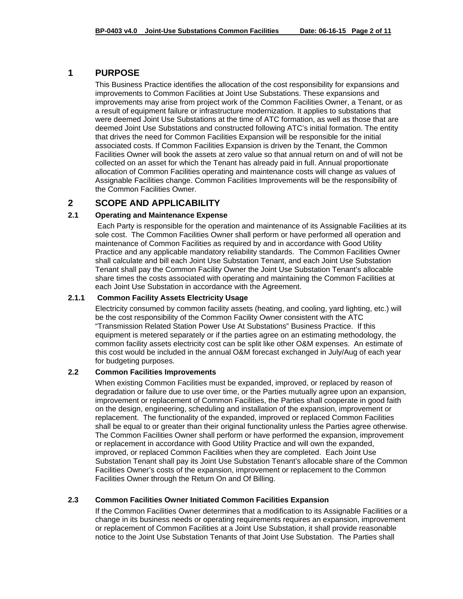## **1 PURPOSE**

This Business Practice identifies the allocation of the cost responsibility for expansions and improvements to Common Facilities at Joint Use Substations. These expansions and improvements may arise from project work of the Common Facilities Owner, a Tenant, or as a result of equipment failure or infrastructure modernization. It applies to substations that were deemed Joint Use Substations at the time of ATC formation, as well as those that are deemed Joint Use Substations and constructed following ATC's initial formation. The entity that drives the need for Common Facilities Expansion will be responsible for the initial associated costs. If Common Facilities Expansion is driven by the Tenant, the Common Facilities Owner will book the assets at zero value so that annual return on and of will not be collected on an asset for which the Tenant has already paid in full. Annual proportionate allocation of Common Facilities operating and maintenance costs will change as values of Assignable Facilities change. Common Facilities Improvements will be the responsibility of the Common Facilities Owner.

## **2 SCOPE AND APPLICABILITY**

### **2.1 Operating and Maintenance Expense**

 Each Party is responsible for the operation and maintenance of its Assignable Facilities at its sole cost. The Common Facilities Owner shall perform or have performed all operation and maintenance of Common Facilities as required by and in accordance with Good Utility Practice and any applicable mandatory reliability standards. The Common Facilities Owner shall calculate and bill each Joint Use Substation Tenant, and each Joint Use Substation Tenant shall pay the Common Facility Owner the Joint Use Substation Tenant's allocable share times the costs associated with operating and maintaining the Common Facilities at each Joint Use Substation in accordance with the Agreement.

#### **2.1.1 Common Facility Assets Electricity Usage**

Electricity consumed by common facility assets (heating, and cooling, yard lighting, etc.) will be the cost responsibility of the Common Facility Owner consistent with the ATC "Transmission Related Station Power Use At Substations" Business Practice. If this equipment is metered separately or if the parties agree on an estimating methodology, the common facility assets electricity cost can be split like other O&M expenses. An estimate of this cost would be included in the annual O&M forecast exchanged in July/Aug of each year for budgeting purposes.

#### **2.2 Common Facilities Improvements**

When existing Common Facilities must be expanded, improved, or replaced by reason of degradation or failure due to use over time, or the Parties mutually agree upon an expansion, improvement or replacement of Common Facilities, the Parties shall cooperate in good faith on the design, engineering, scheduling and installation of the expansion, improvement or replacement. The functionality of the expanded, improved or replaced Common Facilities shall be equal to or greater than their original functionality unless the Parties agree otherwise. The Common Facilities Owner shall perform or have performed the expansion, improvement or replacement in accordance with Good Utility Practice and will own the expanded, improved, or replaced Common Facilities when they are completed. Each Joint Use Substation Tenant shall pay its Joint Use Substation Tenant's allocable share of the Common Facilities Owner's costs of the expansion, improvement or replacement to the Common Facilities Owner through the Return On and Of Billing.

#### **2.3 Common Facilities Owner Initiated Common Facilities Expansion**

If the Common Facilities Owner determines that a modification to its Assignable Facilities or a change in its business needs or operating requirements requires an expansion, improvement or replacement of Common Facilities at a Joint Use Substation, it shall provide reasonable notice to the Joint Use Substation Tenants of that Joint Use Substation. The Parties shall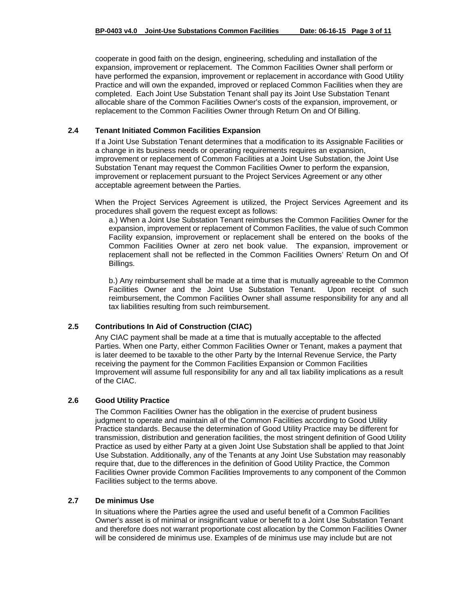cooperate in good faith on the design, engineering, scheduling and installation of the expansion, improvement or replacement. The Common Facilities Owner shall perform or have performed the expansion, improvement or replacement in accordance with Good Utility Practice and will own the expanded, improved or replaced Common Facilities when they are completed. Each Joint Use Substation Tenant shall pay its Joint Use Substation Tenant allocable share of the Common Facilities Owner's costs of the expansion, improvement, or replacement to the Common Facilities Owner through Return On and Of Billing.

### **2.4 Tenant Initiated Common Facilities Expansion**

If a Joint Use Substation Tenant determines that a modification to its Assignable Facilities or a change in its business needs or operating requirements requires an expansion, improvement or replacement of Common Facilities at a Joint Use Substation, the Joint Use Substation Tenant may request the Common Facilities Owner to perform the expansion, improvement or replacement pursuant to the Project Services Agreement or any other acceptable agreement between the Parties.

When the Project Services Agreement is utilized, the Project Services Agreement and its procedures shall govern the request except as follows:

a.) When a Joint Use Substation Tenant reimburses the Common Facilities Owner for the expansion, improvement or replacement of Common Facilities, the value of such Common Facility expansion, improvement or replacement shall be entered on the books of the Common Facilities Owner at zero net book value. The expansion, improvement or replacement shall not be reflected in the Common Facilities Owners' Return On and Of Billings.

b.) Any reimbursement shall be made at a time that is mutually agreeable to the Common Facilities Owner and the Joint Use Substation Tenant. Upon receipt of such reimbursement, the Common Facilities Owner shall assume responsibility for any and all tax liabilities resulting from such reimbursement.

### **2.5 Contributions In Aid of Construction (CIAC)**

Any CIAC payment shall be made at a time that is mutually acceptable to the affected Parties. When one Party, either Common Facilities Owner or Tenant, makes a payment that is later deemed to be taxable to the other Party by the Internal Revenue Service, the Party receiving the payment for the Common Facilities Expansion or Common Facilities Improvement will assume full responsibility for any and all tax liability implications as a result of the CIAC.

#### **2.6 Good Utility Practice**

The Common Facilities Owner has the obligation in the exercise of prudent business judgment to operate and maintain all of the Common Facilities according to Good Utility Practice standards. Because the determination of Good Utility Practice may be different for transmission, distribution and generation facilities, the most stringent definition of Good Utility Practice as used by either Party at a given Joint Use Substation shall be applied to that Joint Use Substation. Additionally, any of the Tenants at any Joint Use Substation may reasonably require that, due to the differences in the definition of Good Utility Practice, the Common Facilities Owner provide Common Facilities Improvements to any component of the Common Facilities subject to the terms above.

#### **2.7 De minimus Use**

In situations where the Parties agree the used and useful benefit of a Common Facilities Owner's asset is of minimal or insignificant value or benefit to a Joint Use Substation Tenant and therefore does not warrant proportionate cost allocation by the Common Facilities Owner will be considered de minimus use. Examples of de minimus use may include but are not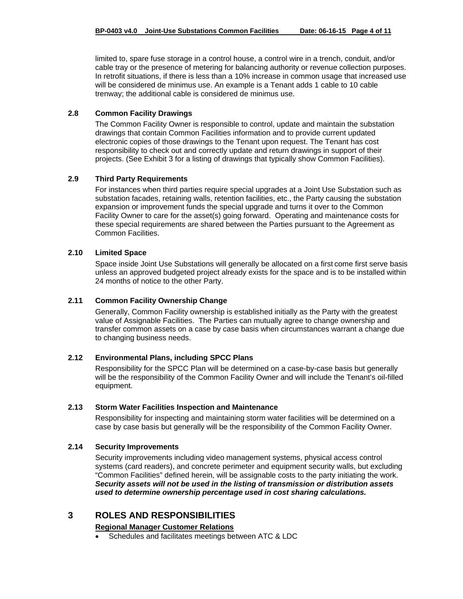limited to, spare fuse storage in a control house, a control wire in a trench, conduit, and/or cable tray or the presence of metering for balancing authority or revenue collection purposes. In retrofit situations, if there is less than a 10% increase in common usage that increased use will be considered de minimus use. An example is a Tenant adds 1 cable to 10 cable trenway; the additional cable is considered de minimus use.

### **2.8 Common Facility Drawings**

The Common Facility Owner is responsible to control, update and maintain the substation drawings that contain Common Facilities information and to provide current updated electronic copies of those drawings to the Tenant upon request. The Tenant has cost responsibility to check out and correctly update and return drawings in support of their projects. (See Exhibit 3 for a listing of drawings that typically show Common Facilities).

### **2.9 Third Party Requirements**

For instances when third parties require special upgrades at a Joint Use Substation such as substation facades, retaining walls, retention facilities, etc., the Party causing the substation expansion or improvement funds the special upgrade and turns it over to the Common Facility Owner to care for the asset(s) going forward. Operating and maintenance costs for these special requirements are shared between the Parties pursuant to the Agreement as Common Facilities.

#### **2.10 Limited Space**

Space inside Joint Use Substations will generally be allocated on a first come first serve basis unless an approved budgeted project already exists for the space and is to be installed within 24 months of notice to the other Party.

### **2.11 Common Facility Ownership Change**

Generally, Common Facility ownership is established initially as the Party with the greatest value of Assignable Facilities. The Parties can mutually agree to change ownership and transfer common assets on a case by case basis when circumstances warrant a change due to changing business needs.

### **2.12 Environmental Plans, including SPCC Plans**

Responsibility for the SPCC Plan will be determined on a case-by-case basis but generally will be the responsibility of the Common Facility Owner and will include the Tenant's oil-filled equipment.

#### **2.13 Storm Water Facilities Inspection and Maintenance**

Responsibility for inspecting and maintaining storm water facilities will be determined on a case by case basis but generally will be the responsibility of the Common Facility Owner.

### **2.14 Security Improvements**

Security improvements including video management systems, physical access control systems (card readers), and concrete perimeter and equipment security walls, but excluding "Common Facilities" defined herein, will be assignable costs to the party initiating the work. *Security assets will not be used in the listing of transmission or distribution assets used to determine ownership percentage used in cost sharing calculations.*

## **3 ROLES AND RESPONSIBILITIES**

### **Regional Manager Customer Relations**

Schedules and facilitates meetings between ATC & LDC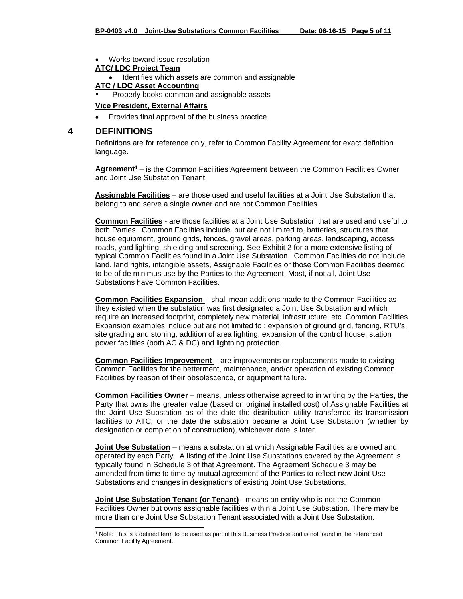Works toward issue resolution

## **ATC/ LDC Project Team**

Identifies which assets are common and assignable

#### **ATC / LDC Asset Accounting**

Properly books common and assignable assets

#### **Vice President, External Affairs**

• Provides final approval of the business practice.

### **4 DEFINITIONS**

l

Definitions are for reference only, refer to Common Facility Agreement for exact definition language.

**Agreement1** – is the Common Facilities Agreement between the Common Facilities Owner and Joint Use Substation Tenant.

**Assignable Facilities** – are those used and useful facilities at a Joint Use Substation that belong to and serve a single owner and are not Common Facilities.

**Common Facilities** - are those facilities at a Joint Use Substation that are used and useful to both Parties. Common Facilities include, but are not limited to, batteries, structures that house equipment, ground grids, fences, gravel areas, parking areas, landscaping, access roads, yard lighting, shielding and screening. See Exhibit 2 for a more extensive listing of typical Common Facilities found in a Joint Use Substation. Common Facilities do not include land, land rights, intangible assets, Assignable Facilities or those Common Facilities deemed to be of de minimus use by the Parties to the Agreement. Most, if not all, Joint Use Substations have Common Facilities.

**Common Facilities Expansion** – shall mean additions made to the Common Facilities as they existed when the substation was first designated a Joint Use Substation and which require an increased footprint, completely new material, infrastructure, etc. Common Facilities Expansion examples include but are not limited to : expansion of ground grid, fencing, RTU's, site grading and stoning, addition of area lighting, expansion of the control house, station power facilities (both AC & DC) and lightning protection.

**Common Facilities Improvement** – are improvements or replacements made to existing Common Facilities for the betterment, maintenance, and/or operation of existing Common Facilities by reason of their obsolescence, or equipment failure.

**Common Facilities Owner** – means, unless otherwise agreed to in writing by the Parties, the Party that owns the greater value (based on original installed cost) of Assignable Facilities at the Joint Use Substation as of the date the distribution utility transferred its transmission facilities to ATC, or the date the substation became a Joint Use Substation (whether by designation or completion of construction), whichever date is later.

**Joint Use Substation** – means a substation at which Assignable Facilities are owned and operated by each Party. A listing of the Joint Use Substations covered by the Agreement is typically found in Schedule 3 of that Agreement. The Agreement Schedule 3 may be amended from time to time by mutual agreement of the Parties to reflect new Joint Use Substations and changes in designations of existing Joint Use Substations.

**Joint Use Substation Tenant (or Tenant)** - means an entity who is not the Common Facilities Owner but owns assignable facilities within a Joint Use Substation. There may be more than one Joint Use Substation Tenant associated with a Joint Use Substation.

<sup>&</sup>lt;sup>1</sup> Note: This is a defined term to be used as part of this Business Practice and is not found in the referenced Common Facility Agreement.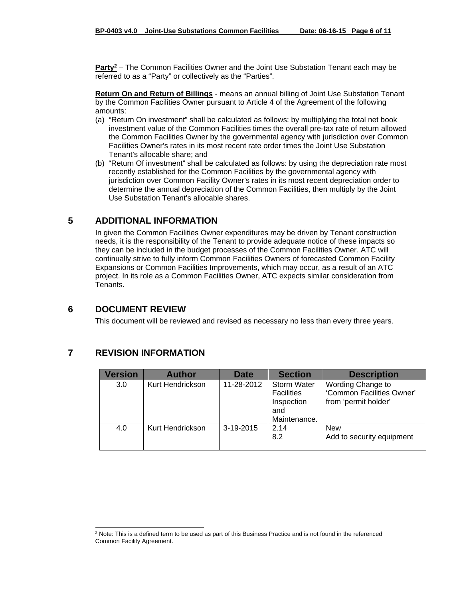**Party2** – The Common Facilities Owner and the Joint Use Substation Tenant each may be referred to as a "Party" or collectively as the "Parties".

**Return On and Return of Billings** - means an annual billing of Joint Use Substation Tenant by the Common Facilities Owner pursuant to Article 4 of the Agreement of the following amounts:

- (a) "Return On investment" shall be calculated as follows: by multiplying the total net book investment value of the Common Facilities times the overall pre-tax rate of return allowed the Common Facilities Owner by the governmental agency with jurisdiction over Common Facilities Owner's rates in its most recent rate order times the Joint Use Substation Tenant's allocable share; and
- (b) "Return Of investment" shall be calculated as follows: by using the depreciation rate most recently established for the Common Facilities by the governmental agency with jurisdiction over Common Facility Owner's rates in its most recent depreciation order to determine the annual depreciation of the Common Facilities, then multiply by the Joint Use Substation Tenant's allocable shares.

## **5 ADDITIONAL INFORMATION**

In given the Common Facilities Owner expenditures may be driven by Tenant construction needs, it is the responsibility of the Tenant to provide adequate notice of these impacts so they can be included in the budget processes of the Common Facilities Owner. ATC will continually strive to fully inform Common Facilities Owners of forecasted Common Facility Expansions or Common Facilities Improvements, which may occur, as a result of an ATC project. In its role as a Common Facilities Owner, ATC expects similar consideration from Tenants.

## **6 DOCUMENT REVIEW**

This document will be reviewed and revised as necessary no less than every three years.

## **7 REVISION INFORMATION**

| Version | <b>Author</b>    | <b>Date</b> | <b>Section</b>                                                               | <b>Description</b>                                                     |
|---------|------------------|-------------|------------------------------------------------------------------------------|------------------------------------------------------------------------|
| 3.0     | Kurt Hendrickson | 11-28-2012  | <b>Storm Water</b><br><b>Facilities</b><br>Inspection<br>and<br>Maintenance. | Wording Change to<br>'Common Facilities Owner'<br>from 'permit holder' |
| 4.0     | Kurt Hendrickson | 3-19-2015   | 2.14<br>8.2                                                                  | <b>New</b><br>Add to security equipment                                |

l <sup>2</sup> Note: This is a defined term to be used as part of this Business Practice and is not found in the referenced Common Facility Agreement.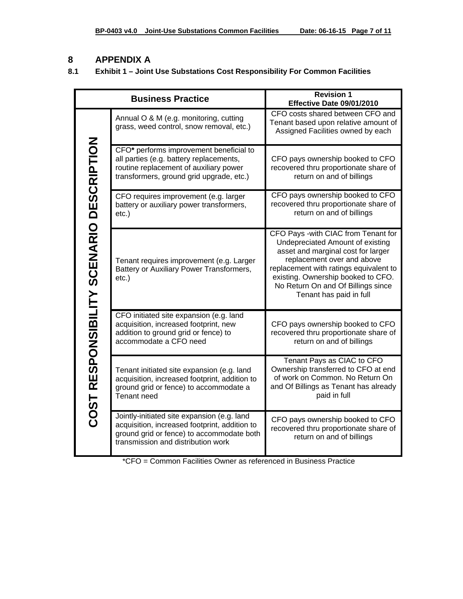# **8 APPENDIX A**

## **8.1 Exhibit 1 – Joint Use Substations Cost Responsibility For Common Facilities**

|                                          | <b>Business Practice</b>                                                                                                                                                        | <b>Revision 1</b><br>Effective Date 09/01/2010                                                                                                                                                                                                                                               |  |  |
|------------------------------------------|---------------------------------------------------------------------------------------------------------------------------------------------------------------------------------|----------------------------------------------------------------------------------------------------------------------------------------------------------------------------------------------------------------------------------------------------------------------------------------------|--|--|
|                                          | Annual O & M (e.g. monitoring, cutting<br>grass, weed control, snow removal, etc.)                                                                                              | CFO costs shared between CFO and<br>Tenant based upon relative amount of<br>Assigned Facilities owned by each                                                                                                                                                                                |  |  |
|                                          | CFO* performs improvement beneficial to<br>all parties (e.g. battery replacements,<br>routine replacement of auxiliary power<br>transformers, ground grid upgrade, etc.)        | CFO pays ownership booked to CFO<br>recovered thru proportionate share of<br>return on and of billings                                                                                                                                                                                       |  |  |
|                                          | CFO requires improvement (e.g. larger<br>battery or auxiliary power transformers,<br>$etc.$ )                                                                                   | CFO pays ownership booked to CFO<br>recovered thru proportionate share of<br>return on and of billings                                                                                                                                                                                       |  |  |
| COST RESPONSIBILITY SCENARIO DESCRIPTION | Tenant requires improvement (e.g. Larger<br>Battery or Auxiliary Power Transformers,<br>$etc.$ )                                                                                | CFO Pays -with CIAC from Tenant for<br>Undepreciated Amount of existing<br>asset and marginal cost for larger<br>replacement over and above<br>replacement with ratings equivalent to<br>existing. Ownership booked to CFO.<br>No Return On and Of Billings since<br>Tenant has paid in full |  |  |
|                                          | CFO initiated site expansion (e.g. land<br>acquisition, increased footprint, new<br>addition to ground grid or fence) to<br>accommodate a CFO need                              | CFO pays ownership booked to CFO<br>recovered thru proportionate share of<br>return on and of billings                                                                                                                                                                                       |  |  |
|                                          | Tenant initiated site expansion (e.g. land<br>acquisition, increased footprint, addition to<br>ground grid or fence) to accommodate a<br><b>Tenant need</b>                     | Tenant Pays as CIAC to CFO<br>Ownership transferred to CFO at end<br>of work on Common. No Return On<br>and Of Billings as Tenant has already<br>paid in full                                                                                                                                |  |  |
|                                          | Jointly-initiated site expansion (e.g. land<br>acquisition, increased footprint, addition to<br>ground grid or fence) to accommodate both<br>transmission and distribution work | CFO pays ownership booked to CFO<br>recovered thru proportionate share of<br>return on and of billings                                                                                                                                                                                       |  |  |

\*CFO = Common Facilities Owner as referenced in Business Practice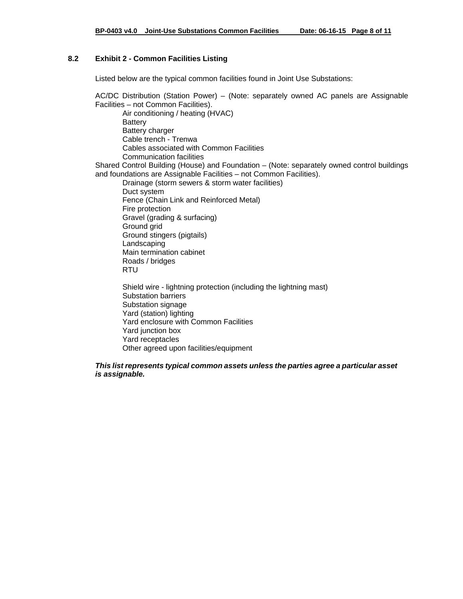### **8.2 Exhibit 2 - Common Facilities Listing**

Listed below are the typical common facilities found in Joint Use Substations:

AC/DC Distribution (Station Power) – (Note: separately owned AC panels are Assignable Facilities – not Common Facilities). Air conditioning / heating (HVAC) **Battery** Battery charger Cable trench - Trenwa Cables associated with Common Facilities Communication facilities Shared Control Building (House) and Foundation – (Note: separately owned control buildings and foundations are Assignable Facilities – not Common Facilities). Drainage (storm sewers & storm water facilities) Duct system Fence (Chain Link and Reinforced Metal) Fire protection Gravel (grading & surfacing) Ground grid Ground stingers (pigtails) Landscaping Main termination cabinet Roads / bridges RTU Shield wire - lightning protection (including the lightning mast) Substation barriers Substation signage Yard (station) lighting Yard enclosure with Common Facilities Yard junction box

Yard receptacles Other agreed upon facilities/equipment

#### *This list represents typical common assets unless the parties agree a particular asset is assignable.*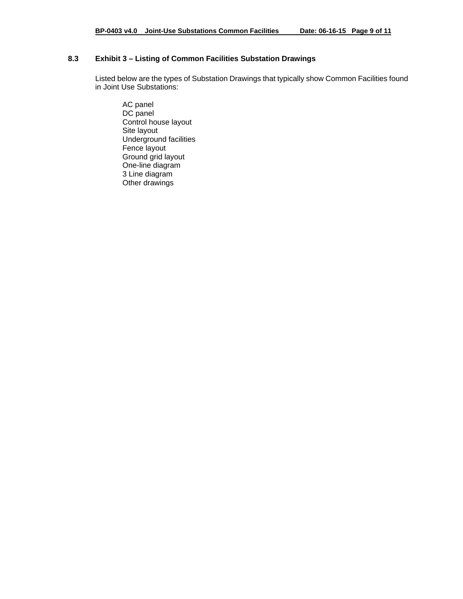## **8.3 Exhibit 3 – Listing of Common Facilities Substation Drawings**

Listed below are the types of Substation Drawings that typically show Common Facilities found in Joint Use Substations:

AC panel DC panel Control house layout Site layout Underground facilities Fence layout Ground grid layout One-line diagram 3 Line diagram Other drawings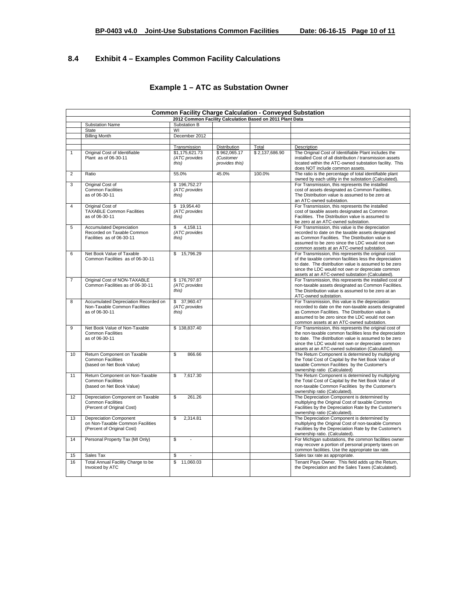## **8.4 Exhibit 4 – Examples Common Facility Calculations**

| <b>Common Facility Charge Calculation - Conveyed Substation</b> |                                                                                                 |                                          |                             |                |                                                                                                                                                                                                                                                                                   |
|-----------------------------------------------------------------|-------------------------------------------------------------------------------------------------|------------------------------------------|-----------------------------|----------------|-----------------------------------------------------------------------------------------------------------------------------------------------------------------------------------------------------------------------------------------------------------------------------------|
| 2012 Common Facility Calculation Based on 2011 Plant Data       |                                                                                                 |                                          |                             |                |                                                                                                                                                                                                                                                                                   |
|                                                                 | Substation Name                                                                                 | Substation B                             |                             |                |                                                                                                                                                                                                                                                                                   |
|                                                                 | State                                                                                           | WI                                       |                             |                |                                                                                                                                                                                                                                                                                   |
|                                                                 | <b>Billing Month</b>                                                                            | December 2012                            |                             |                |                                                                                                                                                                                                                                                                                   |
|                                                                 |                                                                                                 |                                          | <b>Distribution</b>         | Total          |                                                                                                                                                                                                                                                                                   |
| $\mathbf{1}$                                                    | Original Cost of Identifiable                                                                   | Transmission<br>\$1,175,621.73           | \$962,065.17                | \$2,137,686.90 | Description<br>The Original Cost of Identifiable Plant includes the                                                                                                                                                                                                               |
|                                                                 | Plant as of 06-30-11                                                                            | (ATC provides<br>this)                   | (Customer<br>provides this) |                | installed Cost of all distribution / transmission assets<br>located within the ATC-owned substation facility. This<br>does NOT include common assets.                                                                                                                             |
| $\overline{2}$                                                  | Ratio                                                                                           | 55.0%                                    | 45.0%                       | 100.0%         | The ratio is the percentage of total identifiable plant<br>owned by each utility in the substation (Calculated).                                                                                                                                                                  |
| 3                                                               | Original Cost of<br><b>Common Facilities</b><br>as of 06-30-11                                  | \$196,752.27<br>(ATC provides<br>this)   |                             |                | For Transmission, this represents the installed<br>cost of assets designated as Common Facilities.<br>The Distribution value is assumed to be zero at<br>an ATC-owned substation.                                                                                                 |
| $\overline{4}$                                                  | Original Cost of<br><b>TAXABLE Common Facilities</b><br>as of 06-30-11                          | \$19,954.40<br>(ATC provides<br>this)    |                             |                | For Transmission, this represents the installed<br>cost of taxable assets designated as Common<br>Facilities. The Distribution value is assumed to<br>be zero at an ATC-owned substation.                                                                                         |
| 5                                                               | <b>Accumulated Depreciation</b><br>Recorded on Taxable Common<br>Facilities as of 06-30-11      | 4,158.11<br>\$<br>(ATC provides<br>this) |                             |                | For Transmission, this value is the depreciation<br>recorded to date on the taxable assets designated<br>as Common Facilities. The Distribution value is<br>assumed to be zero since the LDC would not own<br>common assets at an ATC-owned substation.                           |
| 6                                                               | Net Book Value of Taxable<br>Common Facilities as of 06-30-11                                   | \$15,796.29                              |                             |                | For Transmission, this represents the original cost<br>of the taxable common facilities less the depreciation<br>to date. The distribution value is assumed to be zero<br>since the LDC would not own or depreciate common<br>assets at an ATC-owned substation (Calculated).     |
| $\overline{7}$                                                  | Original Cost of NON-TAXABLE<br>Common Facilities as of 06-30-11                                | \$176,797.87<br>(ATC provides<br>this)   |                             |                | For Transmission, this represents the installed cost of<br>non-taxable assets designated as Common Facilities.<br>The Distribution value is assumed to be zero at an<br>ATC-owned substation.                                                                                     |
| 8                                                               | Accumulated Depreciation Recorded on<br>Non-Taxable Common Facilities<br>as of 06-30-11         | \$ 37,960.47<br>(ATC provides<br>this)   |                             |                | For Transmission, this value is the depreciation<br>recorded to date on the non-taxable assets designated<br>as Common Facilities. The Distribution value is<br>assumed to be zero since the LDC would not own<br>common assets at an ATC-owned substation.                       |
| 9                                                               | Net Book Value of Non-Taxable<br><b>Common Facilities</b><br>as of 06-30-11                     | \$138,837.40                             |                             |                | For Transmission, this represents the original cost of<br>the non-taxable common facilities less the depreciation<br>to date. The distribution value is assumed to be zero<br>since the LDC would not own or depreciate common<br>assets at an ATC-owned substation (Calculated). |
| 10                                                              | Return Component on Taxable<br><b>Common Facilities</b><br>(based on Net Book Value)            | \$<br>866.66                             |                             |                | The Return Component is determined by multiplying<br>the Total Cost of Capital by the Net Book Value of<br>taxable Common Facilities by the Customer's<br>ownership ratio (Calculated)                                                                                            |
| 11                                                              | Return Component on Non-Taxable<br><b>Common Facilities</b><br>(based on Net Book Value)        | 7.617.30<br>\$                           |                             |                | The Return Component is determined by multiplying<br>the Total Cost of Capital by the Net Book Value of<br>non-taxable Common Facilities by the Customer's<br>ownership ratio (Calculated).                                                                                       |
| 12                                                              | Depreciation Component on Taxable<br><b>Common Facilities</b><br>(Percent of Original Cost)     | \$<br>261.26                             |                             |                | The Depreciation Component is determined by<br>multiplying the Original Cost of taxable Common<br>Facilities by the Depreciation Rate by the Customer's<br>ownership ratio (Calculated).                                                                                          |
| 13                                                              | <b>Depreciation Component</b><br>on Non-Taxable Common Facilities<br>(Percent of Original Cost) | \$.<br>2.314.81                          |                             |                | The Depreciation Component is determined by<br>multiplying the Original Cost of non-taxable Common<br>Facilities by the Depreciation Rate by the Customer's<br>ownership ratio. (Calculated).                                                                                     |
| 14                                                              | Personal Property Tax (MI Only)                                                                 | \$<br>÷,                                 |                             |                | For Michigan substations, the common facilities owner<br>may recover a portion of personal property taxes on<br>common facilities. Use the appropriate tax rate.                                                                                                                  |
| 15                                                              | Sales Tax                                                                                       | \$                                       |                             |                | Sales tax rate as appropriate.                                                                                                                                                                                                                                                    |
| 16                                                              | Total Annual Facility Charge to be<br>Invoiced by ATC                                           | $\mathbf{s}$<br>11.060.03                |                             |                | Tenant Pays Owner. This field adds up the Return,<br>the Depreciation and the Sales Taxes (Calculated).                                                                                                                                                                           |

## **Example 1 – ATC as Substation Owner**